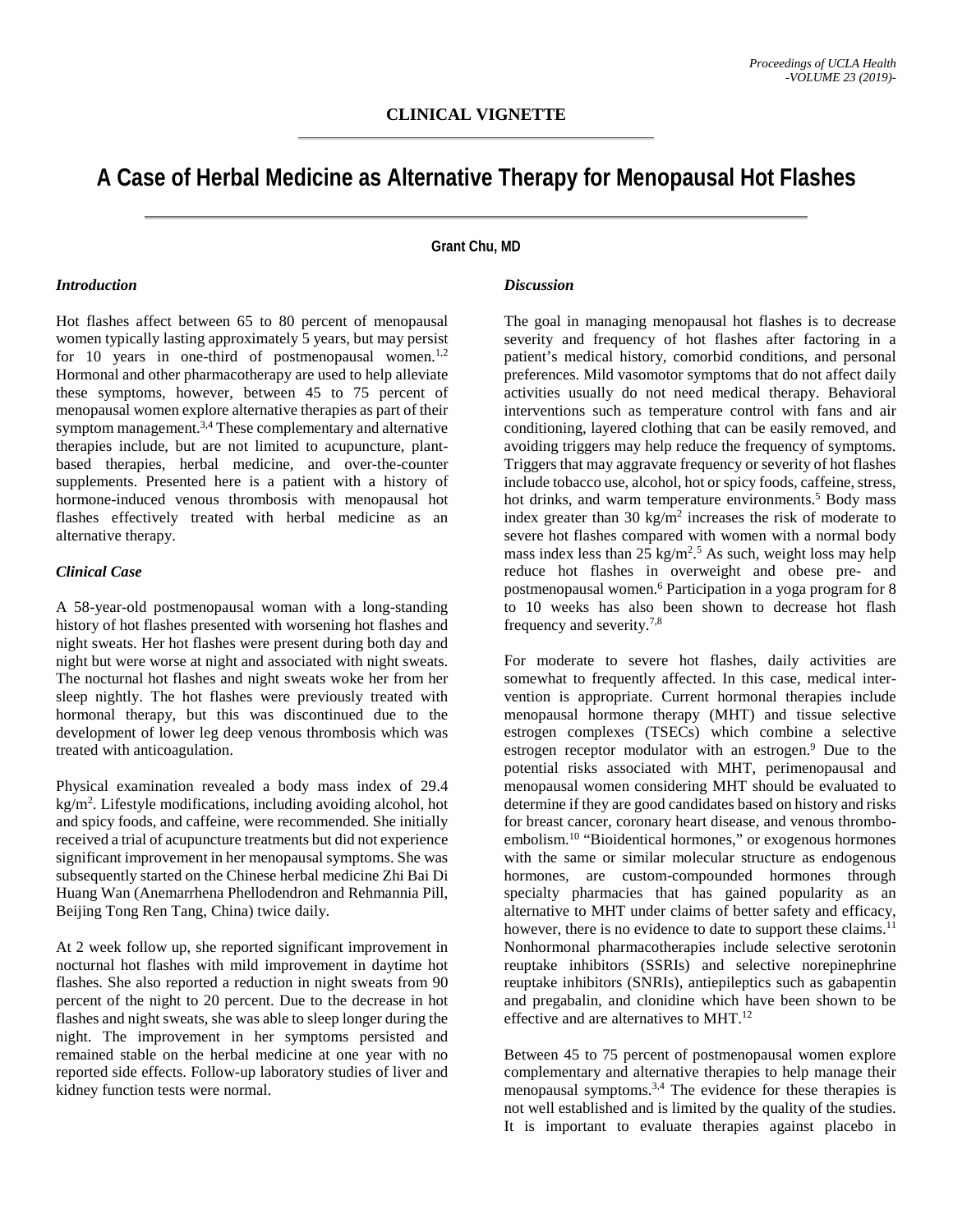# **A Case of Herbal Medicine as Alternative Therapy for Menopausal Hot Flashes**

**Grant Chu, MD**

#### *Introduction*

Hot flashes affect between 65 to 80 percent of menopausal women typically lasting approximately 5 years, but may persist for 10 years in one-third of postmenopausal women. $1,2$ Hormonal and other pharmacotherapy are used to help alleviate these symptoms, however, between 45 to 75 percent of menopausal women explore alternative therapies as part of their symptom management.<sup>3,4</sup> These complementary and alternative therapies include, but are not limited to acupuncture, plantbased therapies, herbal medicine, and over-the-counter supplements. Presented here is a patient with a history of hormone-induced venous thrombosis with menopausal hot flashes effectively treated with herbal medicine as an alternative therapy.

### *Clinical Case*

A 58-year-old postmenopausal woman with a long-standing history of hot flashes presented with worsening hot flashes and night sweats. Her hot flashes were present during both day and night but were worse at night and associated with night sweats. The nocturnal hot flashes and night sweats woke her from her sleep nightly. The hot flashes were previously treated with hormonal therapy, but this was discontinued due to the development of lower leg deep venous thrombosis which was treated with anticoagulation.

Physical examination revealed a body mass index of 29.4 kg/m2 . Lifestyle modifications, including avoiding alcohol, hot and spicy foods, and caffeine, were recommended. She initially received a trial of acupuncture treatments but did not experience significant improvement in her menopausal symptoms. She was subsequently started on the Chinese herbal medicine Zhi Bai Di Huang Wan (Anemarrhena Phellodendron and Rehmannia Pill, Beijing Tong Ren Tang, China) twice daily.

At 2 week follow up, she reported significant improvement in nocturnal hot flashes with mild improvement in daytime hot flashes. She also reported a reduction in night sweats from 90 percent of the night to 20 percent. Due to the decrease in hot flashes and night sweats, she was able to sleep longer during the night. The improvement in her symptoms persisted and remained stable on the herbal medicine at one year with no reported side effects. Follow-up laboratory studies of liver and kidney function tests were normal.

### *Discussion*

The goal in managing menopausal hot flashes is to decrease severity and frequency of hot flashes after factoring in a patient's medical history, comorbid conditions, and personal preferences. Mild vasomotor symptoms that do not affect daily activities usually do not need medical therapy. Behavioral interventions such as temperature control with fans and air conditioning, layered clothing that can be easily removed, and avoiding triggers may help reduce the frequency of symptoms. Triggers that may aggravate frequency or severity of hot flashes include tobacco use, alcohol, hot or spicy foods, caffeine, stress, hot drinks, and warm temperature environments.<sup>5</sup> Body mass index greater than  $30 \text{ kg/m}^2$  increases the risk of moderate to severe hot flashes compared with women with a normal body mass index less than  $25 \text{ kg/m}^2$ .<sup>5</sup> As such, weight loss may help reduce hot flashes in overweight and obese pre- and postmenopausal women.6 Participation in a yoga program for 8 to 10 weeks has also been shown to decrease hot flash frequency and severity.7,8

For moderate to severe hot flashes, daily activities are somewhat to frequently affected. In this case, medical intervention is appropriate. Current hormonal therapies include menopausal hormone therapy (MHT) and tissue selective estrogen complexes (TSECs) which combine a selective estrogen receptor modulator with an estrogen.<sup>9</sup> Due to the potential risks associated with MHT, perimenopausal and menopausal women considering MHT should be evaluated to determine if they are good candidates based on history and risks for breast cancer, coronary heart disease, and venous thromboembolism.10 "Bioidentical hormones," or exogenous hormones with the same or similar molecular structure as endogenous hormones, are custom-compounded hormones through specialty pharmacies that has gained popularity as an alternative to MHT under claims of better safety and efficacy, however, there is no evidence to date to support these claims.<sup>11</sup> Nonhormonal pharmacotherapies include selective serotonin reuptake inhibitors (SSRIs) and selective norepinephrine reuptake inhibitors (SNRIs), antiepileptics such as gabapentin and pregabalin, and clonidine which have been shown to be effective and are alternatives to MHT.<sup>12</sup>

Between 45 to 75 percent of postmenopausal women explore complementary and alternative therapies to help manage their menopausal symptoms.<sup>3,4</sup> The evidence for these therapies is not well established and is limited by the quality of the studies. It is important to evaluate therapies against placebo in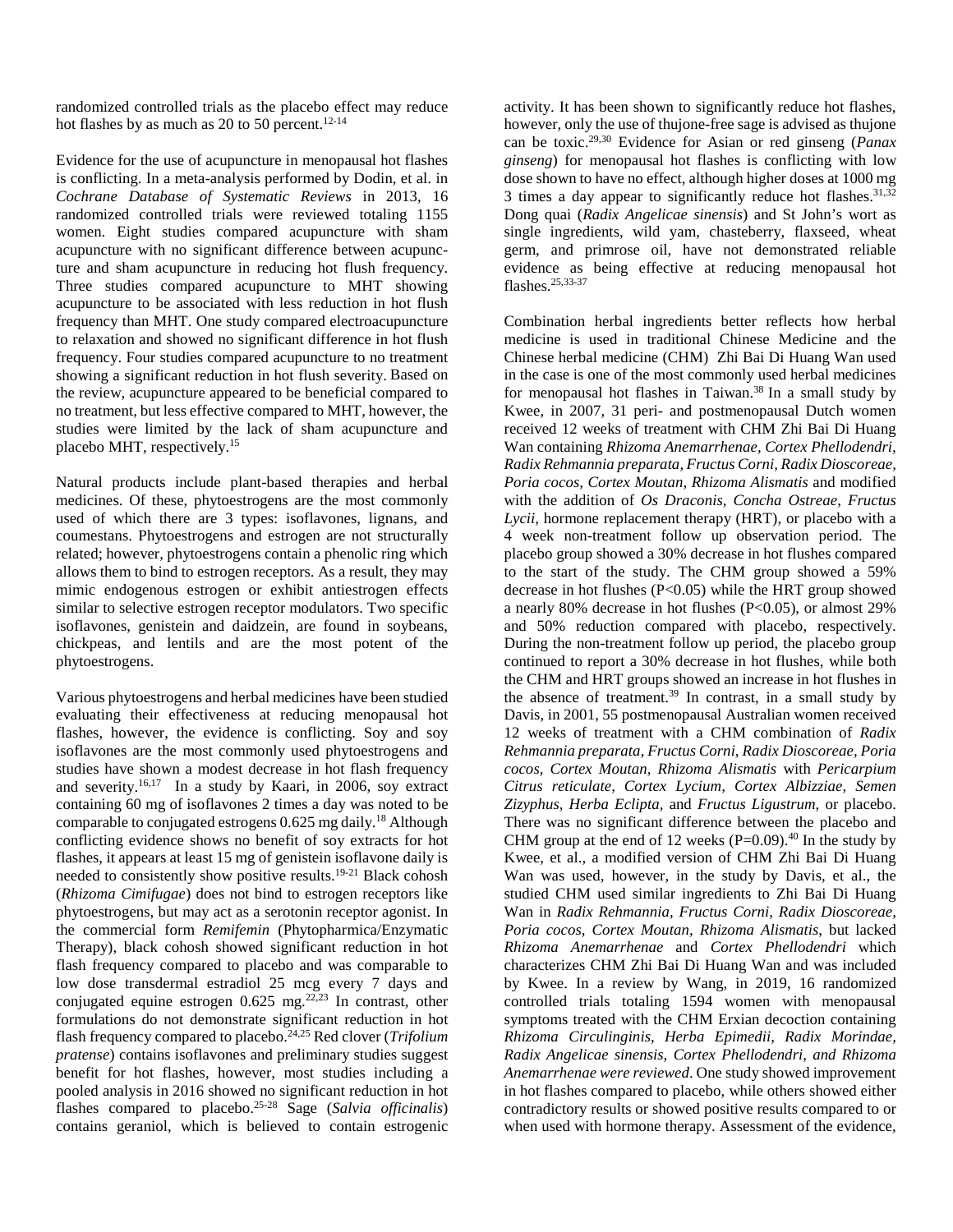randomized controlled trials as the placebo effect may reduce hot flashes by as much as 20 to 50 percent.<sup>12-14</sup>

Evidence for the use of acupuncture in menopausal hot flashes is conflicting. In a meta-analysis performed by Dodin, et al. in *Cochrane Database of Systematic Reviews* in 2013, 16 randomized controlled trials were reviewed totaling 1155 women. Eight studies compared acupuncture with sham acupuncture with no significant difference between acupuncture and sham acupuncture in reducing hot flush frequency. Three studies compared acupuncture to MHT showing acupuncture to be associated with less reduction in hot flush frequency than MHT. One study compared electroacupuncture to relaxation and showed no significant difference in hot flush frequency. Four studies compared acupuncture to no treatment showing a significant reduction in hot flush severity. Based on the review, acupuncture appeared to be beneficial compared to no treatment, but less effective compared to MHT, however, the studies were limited by the lack of sham acupuncture and placebo MHT, respectively.15

Natural products include plant-based therapies and herbal medicines. Of these, phytoestrogens are the most commonly used of which there are 3 types: isoflavones, lignans, and coumestans. Phytoestrogens and estrogen are not structurally related; however, phytoestrogens contain a phenolic ring which allows them to bind to estrogen receptors. As a result, they may mimic endogenous estrogen or exhibit antiestrogen effects similar to selective estrogen receptor modulators. Two specific isoflavones, genistein and daidzein, are found in soybeans, chickpeas, and lentils and are the most potent of the phytoestrogens.

Various phytoestrogens and herbal medicines have been studied evaluating their effectiveness at reducing menopausal hot flashes, however, the evidence is conflicting. Soy and soy isoflavones are the most commonly used phytoestrogens and studies have shown a modest decrease in hot flash frequency and severity.<sup>16,17</sup> In a study by Kaari, in 2006, soy extract containing 60 mg of isoflavones 2 times a day was noted to be comparable to conjugated estrogens 0.625 mg daily.18 Although conflicting evidence shows no benefit of soy extracts for hot flashes, it appears at least 15 mg of genistein isoflavone daily is needed to consistently show positive results.19-21 Black cohosh (*Rhizoma Cimifugae*) does not bind to estrogen receptors like phytoestrogens, but may act as a serotonin receptor agonist. In the commercial form *Remifemin* (Phytopharmica/Enzymatic Therapy), black cohosh showed significant reduction in hot flash frequency compared to placebo and was comparable to low dose transdermal estradiol 25 mcg every 7 days and conjugated equine estrogen 0.625 mg. 22,23 In contrast, other formulations do not demonstrate significant reduction in hot flash frequency compared to placebo.24,25 Red clover (*Trifolium pratense*) contains isoflavones and preliminary studies suggest benefit for hot flashes, however, most studies including a pooled analysis in 2016 showed no significant reduction in hot flashes compared to placebo.25-28 Sage (*Salvia officinalis*) contains geraniol, which is believed to contain estrogenic

activity. It has been shown to significantly reduce hot flashes, however, only the use of thujone-free sage is advised as thujone can be toxic. 29,30 Evidence for Asian or red ginseng (*Panax ginseng*) for menopausal hot flashes is conflicting with low dose shown to have no effect, although higher doses at 1000 mg 3 times a day appear to significantly reduce hot flashes.  $31,32$ Dong quai (*Radix Angelicae sinensis*) and St John's wort as single ingredients, wild yam, chasteberry, flaxseed, wheat germ, and primrose oil, have not demonstrated reliable evidence as being effective at reducing menopausal hot flashes.25,33-37

Combination herbal ingredients better reflects how herbal medicine is used in traditional Chinese Medicine and the Chinese herbal medicine (CHM) Zhi Bai Di Huang Wan used in the case is one of the most commonly used herbal medicines for menopausal hot flashes in Taiwan.<sup>38</sup> In a small study by Kwee, in 2007, 31 peri- and postmenopausal Dutch women received 12 weeks of treatment with CHM Zhi Bai Di Huang Wan containing *Rhizoma Anemarrhenae, Cortex Phellodendri, Radix Rehmannia preparata, Fructus Corni, Radix Dioscoreae, Poria cocos, Cortex Moutan, Rhizoma Alismatis* and modified with the addition of *Os Draconis, Concha Ostreae, Fructus Lycii*, hormone replacement therapy (HRT), or placebo with a 4 week non-treatment follow up observation period. The placebo group showed a 30% decrease in hot flushes compared to the start of the study. The CHM group showed a 59% decrease in hot flushes (P<0.05) while the HRT group showed a nearly 80% decrease in hot flushes (P<0.05), or almost 29% and 50% reduction compared with placebo, respectively. During the non-treatment follow up period, the placebo group continued to report a 30% decrease in hot flushes, while both the CHM and HRT groups showed an increase in hot flushes in the absence of treatment.39 In contrast, in a small study by Davis, in 2001, 55 postmenopausal Australian women received 12 weeks of treatment with a CHM combination of *Radix Rehmannia preparata, Fructus Corni, Radix Dioscoreae, Poria cocos, Cortex Moutan, Rhizoma Alismatis* with *Pericarpium Citrus reticulate, Cortex Lycium, Cortex Albizziae, Semen Zizyphus, Herba Eclipta,* and *Fructus Ligustrum*, or placebo. There was no significant difference between the placebo and CHM group at the end of 12 weeks  $(P=0.09)$ .<sup>40</sup> In the study by Kwee, et al., a modified version of CHM Zhi Bai Di Huang Wan was used, however, in the study by Davis, et al., the studied CHM used similar ingredients to Zhi Bai Di Huang Wan in *Radix Rehmannia, Fructus Corni, Radix Dioscoreae, Poria cocos, Cortex Moutan, Rhizoma Alismatis*, but lacked *Rhizoma Anemarrhenae* and *Cortex Phellodendri* which characterizes CHM Zhi Bai Di Huang Wan and was included by Kwee. In a review by Wang, in 2019, 16 randomized controlled trials totaling 1594 women with menopausal symptoms treated with the CHM Erxian decoction containing *Rhizoma Circulinginis, Herba Epimedii, Radix Morindae, Radix Angelicae sinensis, Cortex Phellodendri, and Rhizoma Anemarrhenae were reviewed*. One study showed improvement in hot flashes compared to placebo, while others showed either contradictory results or showed positive results compared to or when used with hormone therapy. Assessment of the evidence,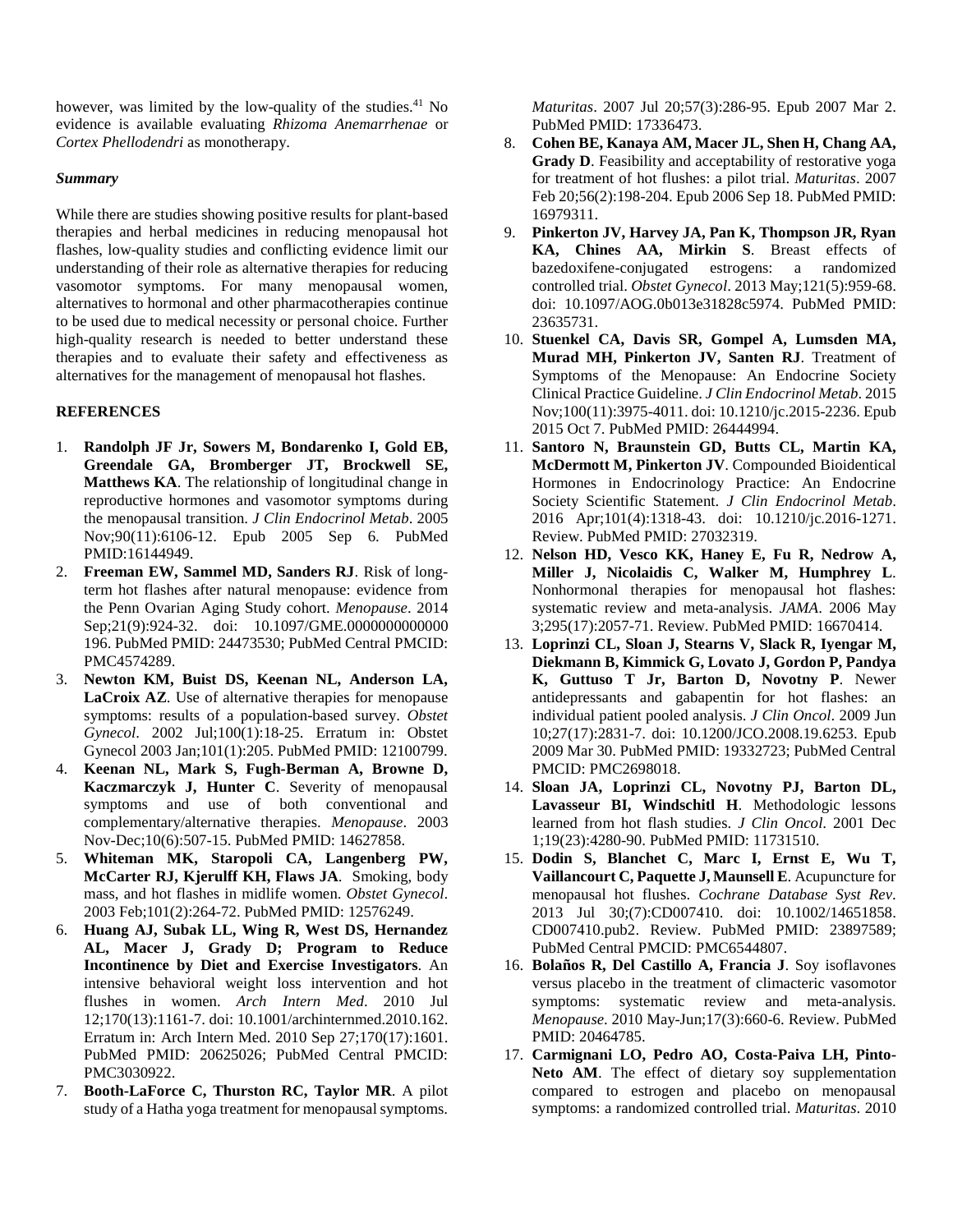however, was limited by the low-quality of the studies. $41$  No evidence is available evaluating *Rhizoma Anemarrhenae* or *Cortex Phellodendri* as monotherapy.

### *Summary*

While there are studies showing positive results for plant-based therapies and herbal medicines in reducing menopausal hot flashes, low-quality studies and conflicting evidence limit our understanding of their role as alternative therapies for reducing vasomotor symptoms. For many menopausal women, alternatives to hormonal and other pharmacotherapies continue to be used due to medical necessity or personal choice. Further high-quality research is needed to better understand these therapies and to evaluate their safety and effectiveness as alternatives for the management of menopausal hot flashes.

## **REFERENCES**

- 1. **Randolph JF Jr, Sowers M, Bondarenko I, Gold EB, Greendale GA, Bromberger JT, Brockwell SE, Matthews KA**. The relationship of longitudinal change in reproductive hormones and vasomotor symptoms during the menopausal transition. *J Clin Endocrinol Metab*. 2005 Nov;90(11):6106-12. Epub 2005 Sep 6. PubMed PMID:16144949.
- 2. **Freeman EW, Sammel MD, Sanders RJ**. Risk of longterm hot flashes after natural menopause: evidence from the Penn Ovarian Aging Study cohort. *Menopause*. 2014 Sep;21(9):924-32. doi: 10.1097/GME.0000000000000 196. PubMed PMID: 24473530; PubMed Central PMCID: PMC4574289.
- 3. **Newton KM, Buist DS, Keenan NL, Anderson LA, LaCroix AZ**. Use of alternative therapies for menopause symptoms: results of a population-based survey. *Obstet Gynecol*. 2002 Jul;100(1):18-25. Erratum in: Obstet Gynecol 2003 Jan;101(1):205. PubMed PMID: 12100799.
- 4. **Keenan NL, Mark S, Fugh-Berman A, Browne D, Kaczmarczyk J, Hunter C**. Severity of menopausal symptoms and use of both conventional and complementary/alternative therapies. *Menopause*. 2003 Nov-Dec;10(6):507-15. PubMed PMID: 14627858.
- 5. **Whiteman MK, Staropoli CA, Langenberg PW, McCarter RJ, Kjerulff KH, Flaws JA**. Smoking, body mass, and hot flashes in midlife women. *Obstet Gynecol*. 2003 Feb;101(2):264-72. PubMed PMID: 12576249.
- 6. **Huang AJ, Subak LL, Wing R, West DS, Hernandez AL, Macer J, Grady D; Program to Reduce Incontinence by Diet and Exercise Investigators**. An intensive behavioral weight loss intervention and hot flushes in women. *Arch Intern Med*. 2010 Jul 12;170(13):1161-7. doi: 10.1001/archinternmed.2010.162. Erratum in: Arch Intern Med. 2010 Sep 27;170(17):1601. PubMed PMID: 20625026; PubMed Central PMCID: PMC3030922.
- 7. **Booth-LaForce C, Thurston RC, Taylor MR**. A pilot study of a Hatha yoga treatment for menopausal symptoms.

*Maturitas*. 2007 Jul 20;57(3):286-95. Epub 2007 Mar 2. PubMed PMID: 17336473.

- 8. **Cohen BE, Kanaya AM, Macer JL, Shen H, Chang AA, Grady D**. Feasibility and acceptability of restorative yoga for treatment of hot flushes: a pilot trial. *Maturitas*. 2007 Feb 20;56(2):198-204. Epub 2006 Sep 18. PubMed PMID: 16979311.
- 9. **Pinkerton JV, Harvey JA, Pan K, Thompson JR, Ryan KA, Chines AA, Mirkin S**. Breast effects of bazedoxifene-conjugated estrogens: a randomized controlled trial. *Obstet Gynecol*. 2013 May;121(5):959-68. doi: 10.1097/AOG.0b013e31828c5974. PubMed PMID: 23635731.
- 10. **Stuenkel CA, Davis SR, Gompel A, Lumsden MA, Murad MH, Pinkerton JV, Santen RJ**. Treatment of Symptoms of the Menopause: An Endocrine Society Clinical Practice Guideline. *J Clin Endocrinol Metab*. 2015 Nov;100(11):3975-4011. doi: 10.1210/jc.2015-2236. Epub 2015 Oct 7. PubMed PMID: 26444994.
- 11. **Santoro N, Braunstein GD, Butts CL, Martin KA, McDermott M, Pinkerton JV**. Compounded Bioidentical Hormones in Endocrinology Practice: An Endocrine Society Scientific Statement. *J Clin Endocrinol Metab*. 2016 Apr;101(4):1318-43. doi: 10.1210/jc.2016-1271. Review. PubMed PMID: 27032319.
- 12. **Nelson HD, Vesco KK, Haney E, Fu R, Nedrow A, Miller J, Nicolaidis C, Walker M, Humphrey L**. Nonhormonal therapies for menopausal hot flashes: systematic review and meta-analysis. *JAMA*. 2006 May 3;295(17):2057-71. Review. PubMed PMID: 16670414.
- 13. **Loprinzi CL, Sloan J, Stearns V, Slack R, Iyengar M, Diekmann B, Kimmick G, Lovato J, Gordon P, Pandya K, Guttuso T Jr, Barton D, Novotny P**. Newer antidepressants and gabapentin for hot flashes: an individual patient pooled analysis. *J Clin Oncol*. 2009 Jun 10;27(17):2831-7. doi: 10.1200/JCO.2008.19.6253. Epub 2009 Mar 30. PubMed PMID: 19332723; PubMed Central PMCID: PMC2698018.
- 14. **Sloan JA, Loprinzi CL, Novotny PJ, Barton DL, Lavasseur BI, Windschitl H**. Methodologic lessons learned from hot flash studies. *J Clin Oncol*. 2001 Dec 1;19(23):4280-90. PubMed PMID: 11731510.
- 15. **Dodin S, Blanchet C, Marc I, Ernst E, Wu T, Vaillancourt C, Paquette J, Maunsell E**. Acupuncture for menopausal hot flushes. *Cochrane Database Syst Rev*. 2013 Jul 30;(7):CD007410. doi: 10.1002/14651858. CD007410.pub2. Review. PubMed PMID: 23897589; PubMed Central PMCID: PMC6544807.
- 16. **Bolaños R, Del Castillo A, Francia J**. Soy isoflavones versus placebo in the treatment of climacteric vasomotor symptoms: systematic review and meta-analysis. *Menopause*. 2010 May-Jun;17(3):660-6. Review. PubMed PMID: 20464785.
- 17. **Carmignani LO, Pedro AO, Costa-Paiva LH, Pinto-Neto AM**. The effect of dietary soy supplementation compared to estrogen and placebo on menopausal symptoms: a randomized controlled trial. *Maturitas*. 2010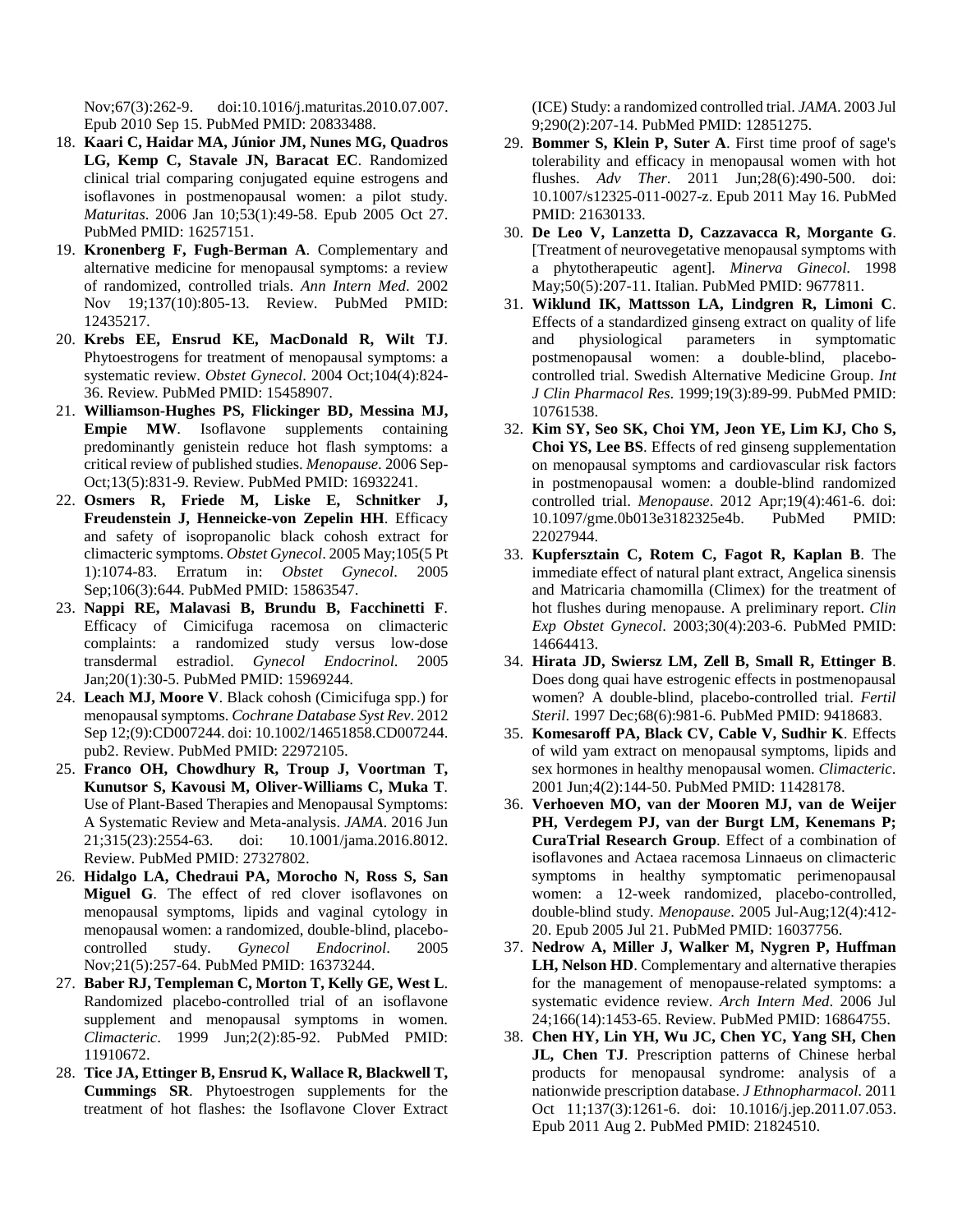Nov;67(3):262-9. doi:10.1016/j.maturitas.2010.07.007. Epub 2010 Sep 15. PubMed PMID: 20833488.

- 18. **Kaari C, Haidar MA, Júnior JM, Nunes MG, Quadros LG, Kemp C, Stavale JN, Baracat EC**. Randomized clinical trial comparing conjugated equine estrogens and isoflavones in postmenopausal women: a pilot study. *Maturitas*. 2006 Jan 10;53(1):49-58. Epub 2005 Oct 27. PubMed PMID: 16257151.
- 19. **Kronenberg F, Fugh-Berman A**. Complementary and alternative medicine for menopausal symptoms: a review of randomized, controlled trials. *Ann Intern Med*. 2002 Nov 19;137(10):805-13. Review. PubMed PMID: 12435217.
- 20. **Krebs EE, Ensrud KE, MacDonald R, Wilt TJ**. Phytoestrogens for treatment of menopausal symptoms: a systematic review. *Obstet Gynecol*. 2004 Oct;104(4):824- 36. Review. PubMed PMID: 15458907.
- 21. **Williamson-Hughes PS, Flickinger BD, Messina MJ, Empie MW**. Isoflavone supplements containing predominantly genistein reduce hot flash symptoms: a critical review of published studies. *Menopause*. 2006 Sep-Oct;13(5):831-9. Review. PubMed PMID: 16932241.
- 22. **Osmers R, Friede M, Liske E, Schnitker J, Freudenstein J, Henneicke-von Zepelin HH**. Efficacy and safety of isopropanolic black cohosh extract for climacteric symptoms. *Obstet Gynecol*. 2005 May;105(5 Pt 1):1074-83. Erratum in: *Obstet Gynecol*. 2005 Sep;106(3):644. PubMed PMID: 15863547.
- 23. **Nappi RE, Malavasi B, Brundu B, Facchinetti F**. Efficacy of Cimicifuga racemosa on climacteric complaints: a randomized study versus low-dose transdermal estradiol. *Gynecol Endocrinol*. 2005 Jan;20(1):30-5. PubMed PMID: 15969244.
- 24. **Leach MJ, Moore V**. Black cohosh (Cimicifuga spp.) for menopausal symptoms. *Cochrane Database Syst Rev*. 2012 Sep 12;(9):CD007244. doi: 10.1002/14651858.CD007244. pub2. Review. PubMed PMID: 22972105.
- 25. **Franco OH, Chowdhury R, Troup J, Voortman T, Kunutsor S, Kavousi M, Oliver-Williams C, Muka T**. Use of Plant-Based Therapies and Menopausal Symptoms: A Systematic Review and Meta-analysis. *JAMA*. 2016 Jun 21;315(23):2554-63. doi: 10.1001/jama.2016.8012. Review. PubMed PMID: 27327802.
- 26. **Hidalgo LA, Chedraui PA, Morocho N, Ross S, San Miguel G**. The effect of red clover isoflavones on menopausal symptoms, lipids and vaginal cytology in menopausal women: a randomized, double-blind, placebocontrolled study. *Gynecol Endocrinol*. 2005 Nov;21(5):257-64. PubMed PMID: 16373244.
- 27. **Baber RJ, Templeman C, Morton T, Kelly GE, West L**. Randomized placebo-controlled trial of an isoflavone supplement and menopausal symptoms in women. *Climacteric*. 1999 Jun;2(2):85-92. PubMed PMID: 11910672.
- 28. **Tice JA, Ettinger B, Ensrud K, Wallace R, Blackwell T, Cummings SR**. Phytoestrogen supplements for the treatment of hot flashes: the Isoflavone Clover Extract

(ICE) Study: a randomized controlled trial. *JAMA*. 2003 Jul 9;290(2):207-14. PubMed PMID: 12851275.

- 29. **Bommer S, Klein P, Suter A**. First time proof of sage's tolerability and efficacy in menopausal women with hot flushes. *Adv Ther*. 2011 Jun;28(6):490-500. doi: 10.1007/s12325-011-0027-z. Epub 2011 May 16. PubMed PMID: 21630133.
- 30. **De Leo V, Lanzetta D, Cazzavacca R, Morgante G**. [Treatment of neurovegetative menopausal symptoms with a phytotherapeutic agent]. *Minerva Ginecol*. 1998 May;50(5):207-11. Italian. PubMed PMID: 9677811.
- 31. **Wiklund IK, Mattsson LA, Lindgren R, Limoni C**. Effects of a standardized ginseng extract on quality of life and physiological parameters in symptomatic postmenopausal women: a double-blind, placebocontrolled trial. Swedish Alternative Medicine Group. *Int J Clin Pharmacol Res*. 1999;19(3):89-99. PubMed PMID: 10761538.
- 32. **Kim SY, Seo SK, Choi YM, Jeon YE, Lim KJ, Cho S, Choi YS, Lee BS**. Effects of red ginseng supplementation on menopausal symptoms and cardiovascular risk factors in postmenopausal women: a double-blind randomized controlled trial. *Menopause*. 2012 Apr;19(4):461-6. doi: 10.1097/gme.0b013e3182325e4b. PubMed PMID: 22027944.
- 33. **Kupfersztain C, Rotem C, Fagot R, Kaplan B**. The immediate effect of natural plant extract, Angelica sinensis and Matricaria chamomilla (Climex) for the treatment of hot flushes during menopause. A preliminary report. *Clin Exp Obstet Gynecol*. 2003;30(4):203-6. PubMed PMID: 14664413.
- 34. **Hirata JD, Swiersz LM, Zell B, Small R, Ettinger B**. Does dong quai have estrogenic effects in postmenopausal women? A double-blind, placebo-controlled trial. *Fertil Steril*. 1997 Dec;68(6):981-6. PubMed PMID: 9418683.
- 35. **Komesaroff PA, Black CV, Cable V, Sudhir K**. Effects of wild yam extract on menopausal symptoms, lipids and sex hormones in healthy menopausal women. *Climacteric*. 2001 Jun;4(2):144-50. PubMed PMID: 11428178.
- 36. **Verhoeven MO, van der Mooren MJ, van de Weijer PH, Verdegem PJ, van der Burgt LM, Kenemans P; CuraTrial Research Group**. Effect of a combination of isoflavones and Actaea racemosa Linnaeus on climacteric symptoms in healthy symptomatic perimenopausal women: a 12-week randomized, placebo-controlled, double-blind study. *Menopause*. 2005 Jul-Aug;12(4):412- 20. Epub 2005 Jul 21. PubMed PMID: 16037756.
- 37. **Nedrow A, Miller J, Walker M, Nygren P, Huffman LH, Nelson HD**. Complementary and alternative therapies for the management of menopause-related symptoms: a systematic evidence review. *Arch Intern Med*. 2006 Jul 24;166(14):1453-65. Review. PubMed PMID: 16864755.
- 38. **Chen HY, Lin YH, Wu JC, Chen YC, Yang SH, Chen JL, Chen TJ**. Prescription patterns of Chinese herbal products for menopausal syndrome: analysis of a nationwide prescription database. *J Ethnopharmacol*. 2011 Oct 11;137(3):1261-6. doi: 10.1016/j.jep.2011.07.053. Epub 2011 Aug 2. PubMed PMID: 21824510.